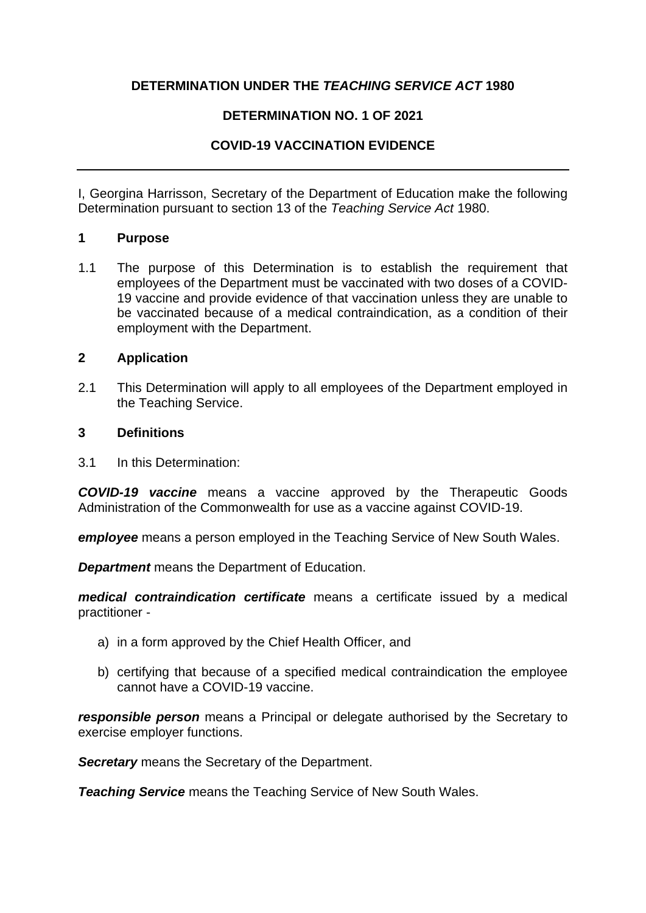### **DETERMINATION UNDER THE** *TEACHING SERVICE ACT* **1980**

### **DETERMINATION NO. 1 OF 2021**

# **COVID-19 VACCINATION EVIDENCE**

I, Georgina Harrisson, Secretary of the Department of Education make the following Determination pursuant to section 13 of the *Teaching Service Act* 1980.

### **1 Purpose**

1.1 The purpose of this Determination is to establish the requirement that employees of the Department must be vaccinated with two doses of a COVID-19 vaccine and provide evidence of that vaccination unless they are unable to be vaccinated because of a medical contraindication, as a condition of their employment with the Department.

### **2 Application**

2.1 This Determination will apply to all employees of the Department employed in the Teaching Service.

#### **3 Definitions**

3.1 In this Determination:

*COVID-19 vaccine* means a vaccine approved by the Therapeutic Goods Administration of the Commonwealth for use as a vaccine against COVID-19.

*employee* means a person employed in the Teaching Service of New South Wales.

*Department* means the Department of Education.

*medical contraindication certificate* means a certificate issued by a medical practitioner -

- a) in a form approved by the Chief Health Officer, and
- b) certifying that because of a specified medical contraindication the employee cannot have a COVID-19 vaccine.

*responsible person* means a Principal or delegate authorised by the Secretary to exercise employer functions.

*Secretary* means the Secretary of the Department.

*Teaching Service* means the Teaching Service of New South Wales.